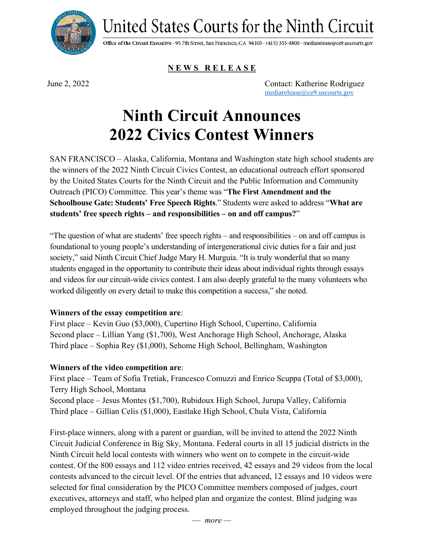

United States Courts for the Ninth Circuit

Office of the Circuit Executive · 95 7th Street, San Francisco, CA 94103 · (415) 355-8800 · mediarelease@ce9.uscourts.gov

## **N E W S R E L E A S E**

June 2, 2022 Contact: Katherine Rodriguez [mediarelease@ce9.uscourts.gov](file://ce9.circ9.dcn/root/Public_Information/2021/2021_Civics_Contest/Media%20Release/mediarelease@ce9.uscourts.gov)

# **Ninth Circuit Announces 2022 Civics Contest Winners**

SAN FRANCISCO – Alaska, California, Montana and Washington state high school students are the winners of the 2022 Ninth Circuit Civics Contest, an educational outreach effort sponsored by the United States Courts for the Ninth Circuit and the Public Information and Community Outreach (PICO) Committee. This year's theme was "**The First Amendment and the Schoolhouse Gate: Students' Free Speech Rights**." Students were asked to address "**What are students' free speech rights – and responsibilities – on and off campus?**"

"The question of what are students' free speech rights – and responsibilities – on and off campus is foundational to young people's understanding of intergenerational civic duties for a fair and just society," said Ninth Circuit Chief Judge Mary H. Murguia. "It is truly wonderful that so many students engaged in the opportunity to contribute their ideas about individual rights through essays and videos for our circuit-wide civics contest. I am also deeply grateful to the many volunteers who worked diligently on every detail to make this competition a success," she noted.

#### **Winners of the essay competition are**:

First place – Kevin Guo (\$3,000), Cupertino High School, Cupertino, California Second place – Lillian Yang (\$1,700), West Anchorage High School, Anchorage, Alaska Third place – Sophia Rey (\$1,000), Sehome High School, Bellingham, Washington

#### **Winners of the video competition are**:

First place – Team of Sofia Tretiak, Francesco Comuzzi and Enrico Scuppa (Total of \$3,000), Terry High School, Montana Second place – Jesus Montes (\$1,700), Rubidoux High School, Jurupa Valley, California Third place – Gillian Celis (\$1,000), Eastlake High School, Chula Vista, California

First-place winners, along with a parent or guardian, will be invited to attend the 2022 Ninth Circuit Judicial Conference in Big Sky, Montana. Federal courts in all 15 judicial districts in the Ninth Circuit held local contests with winners who went on to compete in the circuit-wide contest. Of the 800 essays and 112 video entries received, 42 essays and 29 videos from the local contests advanced to the circuit level. Of the entries that advanced, 12 essays and 10 videos were selected for final consideration by the PICO Committee members composed of judges, court executives, attorneys and staff, who helped plan and organize the contest. Blind judging was employed throughout the judging process.